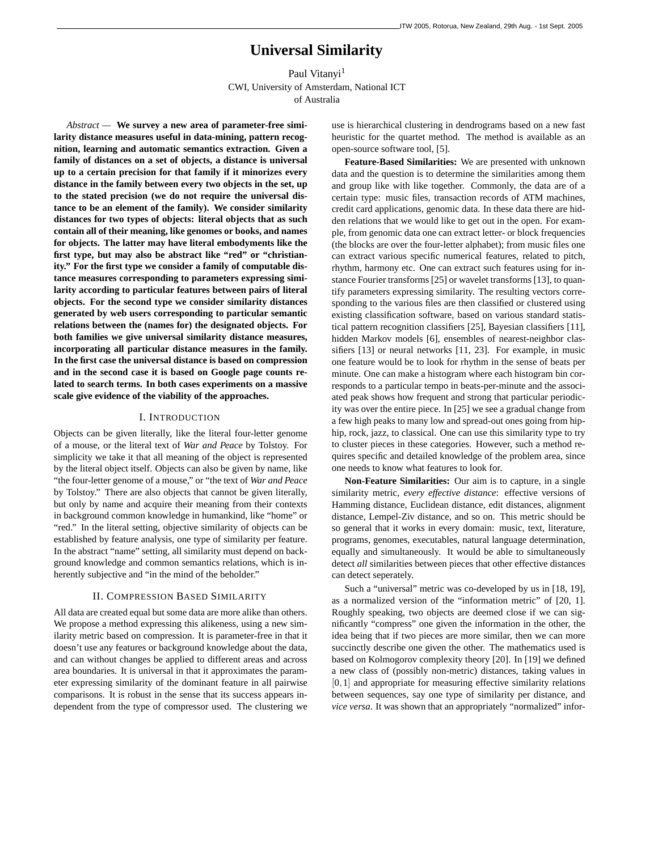# **Universal Similarity**

Paul Vitanyi<sup>1</sup> CWI, University of Amsterdam, National ICT of Australia

*Abstract —* **We survey a new area of parameter-free similarity distance measures useful in data-mining, pattern recognition, learning and automatic semantics extraction. Given a family of distances on a set of objects, a distance is universal up to a certain precision for that family if it minorizes every distance in the family between every two objects in the set, up to the stated precision (we do not require the universal distance to be an element of the family). We consider similarity distances for two types of objects: literal objects that as such contain all of their meaning, like genomes or books, and names for objects. The latter may have literal embodyments like the first type, but may also be abstract like "red" or "christianity." For the first type we consider a family of computable distance measures corresponding to parameters expressing similarity according to particular features between pairs of literal objects. For the second type we consider similarity distances generated by web users corresponding to particular semantic relations between the (names for) the designated objects. For both families we give universal similarity distance measures, incorporating all particular distance measures in the family. In the first case the universal distance is based on compression and in the second case it is based on Google page counts related to search terms. In both cases experiments on a massive scale give evidence of the viability of the approaches.**

## I. INTRODUCTION

Objects can be given literally, like the literal four-letter genome of a mouse, or the literal text of *War and Peace* by Tolstoy. For simplicity we take it that all meaning of the object is represented by the literal object itself. Objects can also be given by name, like "the four-letter genome of a mouse," or "the text of *War and Peace* by Tolstoy." There are also objects that cannot be given literally, but only by name and acquire their meaning from their contexts in background common knowledge in humankind, like "home" or "red." In the literal setting, objective similarity of objects can be established by feature analysis, one type of similarity per feature. In the abstract "name" setting, all similarity must depend on background knowledge and common semantics relations, which is inherently subjective and "in the mind of the beholder."

### II. COMPRESSION BASED SIMILARITY

All data are created equal but some data are more alike than others. We propose a method expressing this alikeness, using a new similarity metric based on compression. It is parameter-free in that it doesn't use any features or background knowledge about the data, and can without changes be applied to different areas and across area boundaries. It is universal in that it approximates the parameter expressing similarity of the dominant feature in all pairwise comparisons. It is robust in the sense that its success appears independent from the type of compressor used. The clustering we use is hierarchical clustering in dendrograms based on a new fast heuristic for the quartet method. The method is available as an open-source software tool, [5].

**Feature-Based Similarities:** We are presented with unknown data and the question is to determine the similarities among them and group like with like together. Commonly, the data are of a certain type: music files, transaction records of ATM machines, credit card applications, genomic data. In these data there are hidden relations that we would like to get out in the open. For example, from genomic data one can extract letter- or block frequencies (the blocks are over the four-letter alphabet); from music files one can extract various specific numerical features, related to pitch, rhythm, harmony etc. One can extract such features using for instance Fourier transforms [25] or wavelet transforms [13], to quantify parameters expressing similarity. The resulting vectors corresponding to the various files are then classified or clustered using existing classification software, based on various standard statistical pattern recognition classifiers [25], Bayesian classifiers [11], hidden Markov models [6], ensembles of nearest-neighbor classifiers [13] or neural networks [11, 23]. For example, in music one feature would be to look for rhythm in the sense of beats per minute. One can make a histogram where each histogram bin corresponds to a particular tempo in beats-per-minute and the associated peak shows how frequent and strong that particular periodicity was over the entire piece. In [25] we see a gradual change from a few high peaks to many low and spread-out ones going from hiphip, rock, jazz, to classical. One can use this similarity type to try to cluster pieces in these categories. However, such a method requires specific and detailed knowledge of the problem area, since one needs to know what features to look for.

**Non-Feature Similarities:** Our aim is to capture, in a single similarity metric, *every effective distance*: effective versions of Hamming distance, Euclidean distance, edit distances, alignment distance, Lempel-Ziv distance, and so on. This metric should be so general that it works in every domain: music, text, literature, programs, genomes, executables, natural language determination, equally and simultaneously. It would be able to simultaneously detect *all* similarities between pieces that other effective distances can detect seperately.

Such a "universal" metric was co-developed by us in [18, 19], as a normalized version of the "information metric" of [20, 1]. Roughly speaking, two objects are deemed close if we can significantly "compress" one given the information in the other, the idea being that if two pieces are more similar, then we can more succinctly describe one given the other. The mathematics used is based on Kolmogorov complexity theory [20]. In [19] we defined a new class of (possibly non-metric) distances, taking values in  $[0,1]$  and appropriate for measuring effective similarity relations between sequences, say one type of similarity per distance, and *vice versa*. It was shown that an appropriately "normalized" infor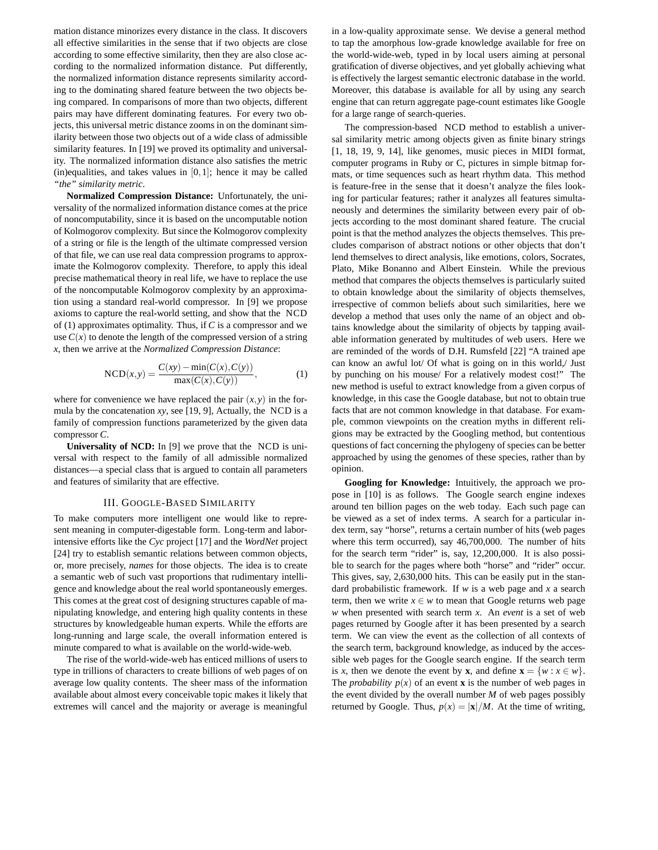mation distance minorizes every distance in the class. It discovers all effective similarities in the sense that if two objects are close according to some effective similarity, then they are also close according to the normalized information distance. Put differently, the normalized information distance represents similarity according to the dominating shared feature between the two objects being compared. In comparisons of more than two objects, different pairs may have different dominating features. For every two objects, this universal metric distance zooms in on the dominant similarity between those two objects out of a wide class of admissible similarity features. In [19] we proved its optimality and universality. The normalized information distance also satisfies the metric (in)equalities, and takes values in  $[0,1]$ ; hence it may be called *"the" similarity metric*.

**Normalized Compression Distance:** Unfortunately, the universality of the normalized information distance comes at the price of noncomputability, since it is based on the uncomputable notion of Kolmogorov complexity. But since the Kolmogorov complexity of a string or file is the length of the ultimate compressed version of that file, we can use real data compression programs to approximate the Kolmogorov complexity. Therefore, to apply this ideal precise mathematical theory in real life, we have to replace the use of the noncomputable Kolmogorov complexity by an approximation using a standard real-world compressor. In [9] we propose axioms to capture the real-world setting, and show that the NCD of (1) approximates optimality. Thus, if *C* is a compressor and we use  $C(x)$  to denote the length of the compressed version of a string *x*, then we arrive at the *Normalized Compression Distance*:

NCD(x,y) = 
$$
\frac{C(xy) - \min(C(x), C(y))}{\max(C(x), C(y))},
$$
 (1)

where for convenience we have replaced the pair  $(x, y)$  in the formula by the concatenation *xy*, see [19, 9], Actually, the NCD is a family of compression functions parameterized by the given data compressor *C*.

**Universality of NCD:** In [9] we prove that the NCD is universal with respect to the family of all admissible normalized distances—a special class that is argued to contain all parameters and features of similarity that are effective.

### III. GOOGLE-BASED SIMILARITY

To make computers more intelligent one would like to represent meaning in computer-digestable form. Long-term and laborintensive efforts like the *Cyc* project [17] and the *WordNet* project [24] try to establish semantic relations between common objects, or, more precisely, *names* for those objects. The idea is to create a semantic web of such vast proportions that rudimentary intelligence and knowledge about the real world spontaneously emerges. This comes at the great cost of designing structures capable of manipulating knowledge, and entering high quality contents in these structures by knowledgeable human experts. While the efforts are long-running and large scale, the overall information entered is minute compared to what is available on the world-wide-web.

The rise of the world-wide-web has enticed millions of users to type in trillions of characters to create billions of web pages of on average low quality contents. The sheer mass of the information available about almost every conceivable topic makes it likely that extremes will cancel and the majority or average is meaningful in a low-quality approximate sense. We devise a general method to tap the amorphous low-grade knowledge available for free on the world-wide-web, typed in by local users aiming at personal gratification of diverse objectives, and yet globally achieving what is effectively the largest semantic electronic database in the world. Moreover, this database is available for all by using any search engine that can return aggregate page-count estimates like Google for a large range of search-queries.

The compression-based NCD method to establish a universal similarity metric among objects given as finite binary strings [1, 18, 19, 9, 14], like genomes, music pieces in MIDI format, computer programs in Ruby or C, pictures in simple bitmap formats, or time sequences such as heart rhythm data. This method is feature-free in the sense that it doesn't analyze the files looking for particular features; rather it analyzes all features simultaneously and determines the similarity between every pair of objects according to the most dominant shared feature. The crucial point is that the method analyzes the objects themselves. This precludes comparison of abstract notions or other objects that don't lend themselves to direct analysis, like emotions, colors, Socrates, Plato, Mike Bonanno and Albert Einstein. While the previous method that compares the objects themselves is particularly suited to obtain knowledge about the similarity of objects themselves, irrespective of common beliefs about such similarities, here we develop a method that uses only the name of an object and obtains knowledge about the similarity of objects by tapping available information generated by multitudes of web users. Here we are reminded of the words of D.H. Rumsfeld [22] "A trained ape can know an awful lot/ Of what is going on in this world,/ Just by punching on his mouse/ For a relatively modest cost!" The new method is useful to extract knowledge from a given corpus of knowledge, in this case the Google database, but not to obtain true facts that are not common knowledge in that database. For example, common viewpoints on the creation myths in different religions may be extracted by the Googling method, but contentious questions of fact concerning the phylogeny of species can be better approached by using the genomes of these species, rather than by opinion.

**Googling for Knowledge:** Intuitively, the approach we propose in [10] is as follows. The Google search engine indexes around ten billion pages on the web today. Each such page can be viewed as a set of index terms. A search for a particular index term, say "horse", returns a certain number of hits (web pages where this term occurred), say 46,700,000. The number of hits for the search term "rider" is, say, 12,200,000. It is also possible to search for the pages where both "horse" and "rider" occur. This gives, say, 2,630,000 hits. This can be easily put in the standard probabilistic framework. If *w* is a web page and *x* a search term, then we write  $x \in w$  to mean that Google returns web page *w* when presented with search term *x*. An *event* is a set of web pages returned by Google after it has been presented by a search term. We can view the event as the collection of all contexts of the search term, background knowledge, as induced by the accessible web pages for the Google search engine. If the search term is *x*, then we denote the event by **x**, and define  $\mathbf{x} = \{w : x \in w\}$ . The *probability*  $p(x)$  of an event **x** is the number of web pages in the event divided by the overall number *M* of web pages possibly returned by Google. Thus,  $p(x) = |x|/M$ . At the time of writing,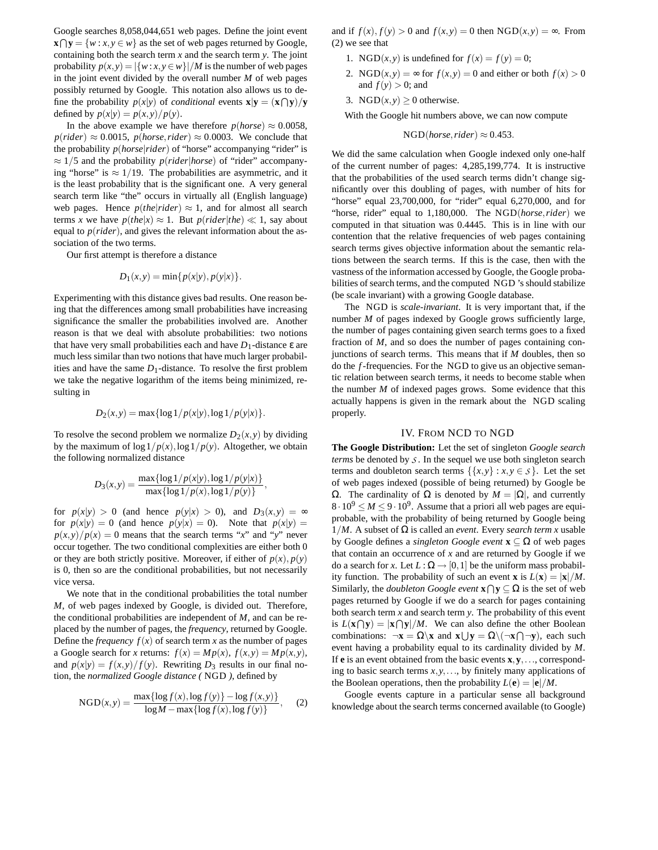Google searches 8,058,044,651 web pages. Define the joint event  $\mathbf{x} \cap \mathbf{y} = \{w : x, y \in w\}$  as the set of web pages returned by Google, containing both the search term *x* and the search term *y*. The joint probability  $p(x, y) = |\{w : x, y \in w\}|/M$  is the number of web pages in the joint event divided by the overall number *M* of web pages possibly returned by Google. This notation also allows us to define the probability  $p(x|y)$  of *conditional* events  $\mathbf{x}|\mathbf{y} = (\mathbf{x} \cap \mathbf{y})/\mathbf{y}$ defined by  $p(x|y) = p(x,y)/p(y)$ .

In the above example we have therefore  $p(horse) \approx 0.0058$ ,  $p(\text{rider}) \approx 0.0015$ ,  $p(\text{horse}, \text{rider}) \approx 0.0003$ . We conclude that the probability *p*(*horse*|*rider*) of "horse" accompanying "rider" is  $\approx$  1/5 and the probability *p*(*rider*|*horse*) of "rider" accompanying "horse" is  $\approx 1/19$ . The probabilities are asymmetric, and it is the least probability that is the significant one. A very general search term like "the" occurs in virtually all (English language) web pages. Hence  $p(the|rider) \approx 1$ , and for almost all search terms *x* we have  $p(the|x) \approx 1$ . But  $p(rider|the) \ll 1$ , say about equal to *p*(*rider*), and gives the relevant information about the association of the two terms.

Our first attempt is therefore a distance

$$
D_1(x, y) = \min\{p(x|y), p(y|x)\}.
$$

Experimenting with this distance gives bad results. One reason being that the differences among small probabilities have increasing significance the smaller the probabilities involved are. Another reason is that we deal with absolute probabilities: two notions that have very small probabilities each and have  $D_1$ -distance ε are much less similar than two notions that have much larger probabilities and have the same  $D_1$ -distance. To resolve the first problem we take the negative logarithm of the items being minimized, resulting in

$$
D_2(x, y) = \max\{\log 1/p(x|y), \log 1/p(y|x)\}.
$$

To resolve the second problem we normalize  $D_2(x, y)$  by dividing by the maximum of  $\log 1/p(x)$ ,  $\log 1/p(y)$ . Altogether, we obtain the following normalized distance

$$
D_3(x,y) = \frac{\max\{\log 1/p(x|y), \log 1/p(y|x)\}}{\max\{\log 1/p(x), \log 1/p(y)\}},
$$

for  $p(x|y) > 0$  (and hence  $p(y|x) > 0$ ), and  $D_3(x, y) = \infty$ for  $p(x|y) = 0$  (and hence  $p(y|x) = 0$ ). Note that  $p(x|y) = 0$  $p(x, y)/p(x) = 0$  means that the search terms "*x*" and "*y*" never occur together. The two conditional complexities are either both 0 or they are both strictly positive. Moreover, if either of  $p(x)$ ,  $p(y)$ is 0, then so are the conditional probabilities, but not necessarily vice versa.

We note that in the conditional probabilities the total number *M*, of web pages indexed by Google, is divided out. Therefore, the conditional probabilities are independent of *M*, and can be replaced by the number of pages, the *frequency*, returned by Google. Define the *frequency*  $f(x)$  of search term *x* as the number of pages a Google search for *x* returns:  $f(x) = Mp(x)$ ,  $f(x, y) = Mp(x, y)$ , and  $p(x|y) = f(x, y)/f(y)$ . Rewriting  $D_3$  results in our final notion, the *normalized Google distance (* NGD *)*, defined by

$$
NGD(x,y) = \frac{\max\{\log f(x), \log f(y)\} - \log f(x,y)\}}{\log M - \max\{\log f(x), \log f(y)\}},
$$
 (2)

and if  $f(x)$ ,  $f(y) > 0$  and  $f(x, y) = 0$  then NGD( $x, y$ ) =  $\infty$ . From (2) we see that

- 1. NGD(*x*, *y*) is undefined for  $f(x) = f(y) = 0$ ;
- 2. NGD( $x, y$ ) =  $\infty$  for  $f(x, y) = 0$  and either or both  $f(x) > 0$ and  $f(y) > 0$ ; and
- 3. NGD $(x, y) \ge 0$  otherwise.

With the Google hit numbers above, we can now compute

$$
NGD(horse, rider) \approx 0.453
$$
.

We did the same calculation when Google indexed only one-half of the current number of pages: 4,285,199,774. It is instructive that the probabilities of the used search terms didn't change significantly over this doubling of pages, with number of hits for "horse" equal 23,700,000, for "rider" equal 6,270,000, and for "horse, rider" equal to 1,180,000. The NGD(*horse*,*rider*) we computed in that situation was 0.4445. This is in line with our contention that the relative frequencies of web pages containing search terms gives objective information about the semantic relations between the search terms. If this is the case, then with the vastness of the information accessed by Google, the Google probabilities of search terms, and the computed NGD 's should stabilize (be scale invariant) with a growing Google database.

The NGD is *scale-invariant*. It is very important that, if the number *M* of pages indexed by Google grows sufficiently large, the number of pages containing given search terms goes to a fixed fraction of *M*, and so does the number of pages containing conjunctions of search terms. This means that if *M* doubles, then so do the *f*-frequencies. For the NGD to give us an objective semantic relation between search terms, it needs to become stable when the number *M* of indexed pages grows. Some evidence that this actually happens is given in the remark about the NGD scaling properly.

#### IV. FROM NCD TO NGD

**The Google Distribution:** Let the set of singleton *Google search terms* be denoted by *S*. In the sequel we use both singleton search terms and doubleton search terms  $\{\{x, y\} : x, y \in S\}$ . Let the set of web pages indexed (possible of being returned) by Google be Ω. The cardinality of Ω is denoted by *M* = |Ω|, and currently  $8 \cdot 10^9 \leq M \leq 9 \cdot 10^9$ . Assume that a priori all web pages are equiprobable, with the probability of being returned by Google being  $1/M$ . A subset of  $\Omega$  is called an *event*. Every *search term x* usable by Google defines a *singleton Google event*  $\mathbf{x} \subseteq \Omega$  of web pages that contain an occurrence of  $x$  and are returned by Google if we do a search for *x*. Let  $L : \Omega \to [0,1]$  be the uniform mass probability function. The probability of such an event **x** is  $L(\mathbf{x}) = |\mathbf{x}|/M$ . Similarly, the *doubleton Google event*  $\mathbf{x} \cap \mathbf{y} \subseteq \Omega$  is the set of web pages returned by Google if we do a search for pages containing both search term *x* and search term *y*. The probability of this event is  $L(\mathbf{x} \cap \mathbf{y}) = |\mathbf{x} \cap \mathbf{y}|/M$ . We can also define the other Boolean combinations:  $\neg x = \Omega \setminus x$  and  $x \cup y = \Omega \setminus (\neg x \cap \neg y)$ , each such event having a probability equal to its cardinality divided by *M*. If **e** is an event obtained from the basic events **x**,**y**,..., corresponding to basic search terms *x*, *y*,..., by finitely many applications of the Boolean operations, then the probability  $L(\mathbf{e}) = |\mathbf{e}|/M$ .

Google events capture in a particular sense all background knowledge about the search terms concerned available (to Google)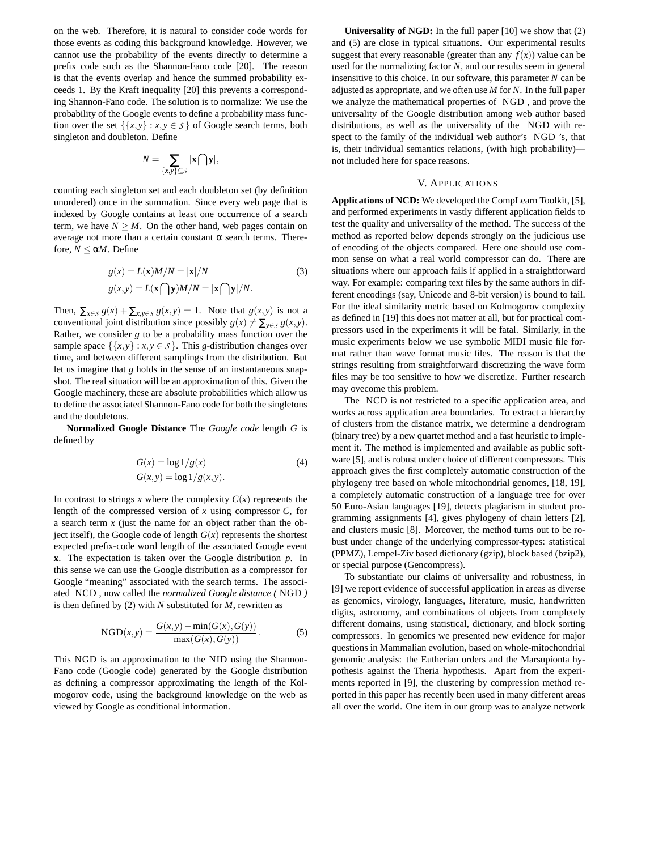on the web. Therefore, it is natural to consider code words for those events as coding this background knowledge. However, we cannot use the probability of the events directly to determine a prefix code such as the Shannon-Fano code [20]. The reason is that the events overlap and hence the summed probability exceeds 1. By the Kraft inequality [20] this prevents a corresponding Shannon-Fano code. The solution is to normalize: We use the probability of the Google events to define a probability mass function over the set  $\{\{x, y\} : x, y \in S\}$  of Google search terms, both singleton and doubleton. Define

$$
N=\sum_{\{x,y\}\subseteq S}|\mathbf{x}\bigcap\mathbf{y}|,
$$

counting each singleton set and each doubleton set (by definition unordered) once in the summation. Since every web page that is indexed by Google contains at least one occurrence of a search term, we have  $N \geq M$ . On the other hand, web pages contain on average not more than a certain constant  $\alpha$  search terms. Therefore,  $N \le \alpha M$ . Define

$$
g(x) = L(\mathbf{x})M/N = |\mathbf{x}|/N
$$
  
\n
$$
g(x, y) = L(\mathbf{x} \cap \mathbf{y})M/N = |\mathbf{x} \cap \mathbf{y}|/N.
$$
\n(3)

Then,  $\sum_{x \in S} g(x) + \sum_{x,y \in S} g(x,y) = 1$ . Note that  $g(x, y)$  is not a conventional joint distribution since possibly  $g(x) \neq \sum_{y \in S} g(x, y)$ . Rather, we consider *g* to be a probability mass function over the sample space  $\{\{x, y\} : x, y \in S\}$ . This *g*-distribution changes over time, and between different samplings from the distribution. But let us imagine that *g* holds in the sense of an instantaneous snapshot. The real situation will be an approximation of this. Given the Google machinery, these are absolute probabilities which allow us to define the associated Shannon-Fano code for both the singletons and the doubletons.

**Normalized Google Distance** The *Google code* length *G* is defined by

$$
G(x) = \log 1/g(x)
$$
  
\n
$$
G(x, y) = \log 1/g(x, y).
$$
\n(4)

In contrast to strings *x* where the complexity  $C(x)$  represents the length of the compressed version of *x* using compressor *C*, for a search term *x* (just the name for an object rather than the object itself), the Google code of length  $G(x)$  represents the shortest expected prefix-code word length of the associated Google event **x**. The expectation is taken over the Google distribution *p*. In this sense we can use the Google distribution as a compressor for Google "meaning" associated with the search terms. The associated NCD , now called the *normalized Google distance (* NGD *)* is then defined by (2) with *N* substituted for *M*, rewritten as

$$
NGD(x, y) = \frac{G(x, y) - min(G(x), G(y))}{max(G(x), G(y))}.
$$
 (5)

This NGD is an approximation to the NID using the Shannon-Fano code (Google code) generated by the Google distribution as defining a compressor approximating the length of the Kolmogorov code, using the background knowledge on the web as viewed by Google as conditional information.

**Universality of NGD:** In the full paper [10] we show that (2) and (5) are close in typical situations. Our experimental results suggest that every reasonable (greater than any  $f(x)$ ) value can be used for the normalizing factor *N*, and our results seem in general insensitive to this choice. In our software, this parameter *N* can be adjusted as appropriate, and we often use *M* for *N*. In the full paper we analyze the mathematical properties of NGD , and prove the universality of the Google distribution among web author based distributions, as well as the universality of the NGD with respect to the family of the individual web author's NGD 's, that is, their individual semantics relations, (with high probability) not included here for space reasons.

#### V. APPLICATIONS

**Applications of NCD:** We developed the CompLearn Toolkit, [5], and performed experiments in vastly different application fields to test the quality and universality of the method. The success of the method as reported below depends strongly on the judicious use of encoding of the objects compared. Here one should use common sense on what a real world compressor can do. There are situations where our approach fails if applied in a straightforward way. For example: comparing text files by the same authors in different encodings (say, Unicode and 8-bit version) is bound to fail. For the ideal similarity metric based on Kolmogorov complexity as defined in [19] this does not matter at all, but for practical compressors used in the experiments it will be fatal. Similarly, in the music experiments below we use symbolic MIDI music file format rather than wave format music files. The reason is that the strings resulting from straightforward discretizing the wave form files may be too sensitive to how we discretize. Further research may ovecome this problem.

The NCD is not restricted to a specific application area, and works across application area boundaries. To extract a hierarchy of clusters from the distance matrix, we determine a dendrogram (binary tree) by a new quartet method and a fast heuristic to implement it. The method is implemented and available as public software [5], and is robust under choice of different compressors. This approach gives the first completely automatic construction of the phylogeny tree based on whole mitochondrial genomes, [18, 19], a completely automatic construction of a language tree for over 50 Euro-Asian languages [19], detects plagiarism in student programming assignments [4], gives phylogeny of chain letters [2], and clusters music [8]. Moreover, the method turns out to be robust under change of the underlying compressor-types: statistical (PPMZ), Lempel-Ziv based dictionary (gzip), block based (bzip2), or special purpose (Gencompress).

To substantiate our claims of universality and robustness, in [9] we report evidence of successful application in areas as diverse as genomics, virology, languages, literature, music, handwritten digits, astronomy, and combinations of objects from completely different domains, using statistical, dictionary, and block sorting compressors. In genomics we presented new evidence for major questions in Mammalian evolution, based on whole-mitochondrial genomic analysis: the Eutherian orders and the Marsupionta hypothesis against the Theria hypothesis. Apart from the experiments reported in [9], the clustering by compression method reported in this paper has recently been used in many different areas all over the world. One item in our group was to analyze network